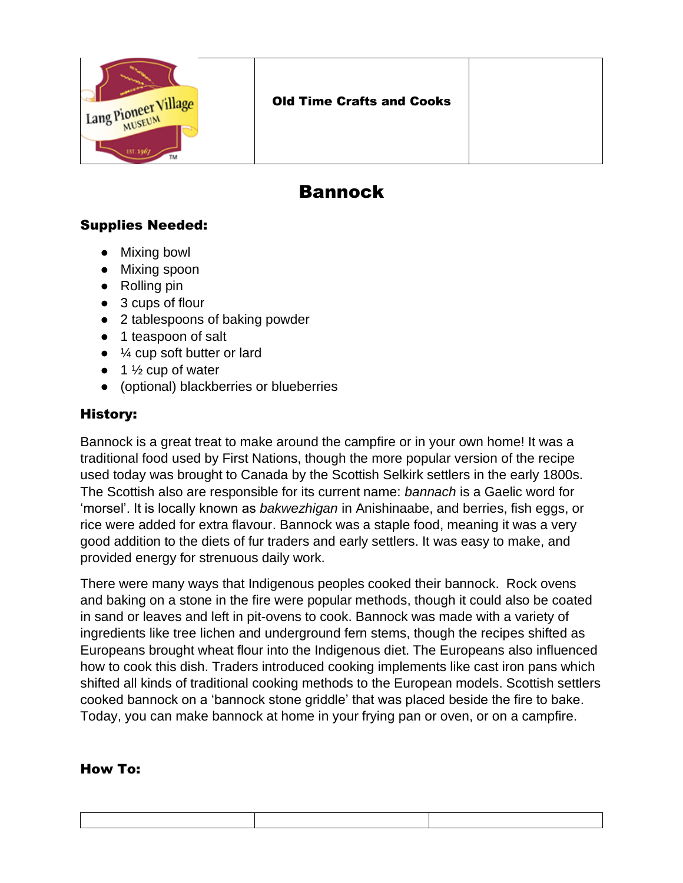

## Bannock

## Supplies Needed:

- Mixing bowl
- Mixing spoon
- Rolling pin
- 3 cups of flour
- 2 tablespoons of baking powder
- 1 teaspoon of salt
- $\bullet$   $\frac{1}{4}$  cup soft butter or lard
- $\bullet$  1  $\frac{1}{2}$  cup of water
- (optional) blackberries or blueberries

## History:

Bannock is a great treat to make around the campfire or in your own home! It was a traditional food used by First Nations, though the more popular version of the recipe used today was brought to Canada by the Scottish Selkirk settlers in the early 1800s. The Scottish also are responsible for its current name: *bannach* is a Gaelic word for 'morsel'. It is locally known as *bakwezhigan* in Anishinaabe, and berries, fish eggs, or rice were added for extra flavour. Bannock was a staple food, meaning it was a very good addition to the diets of fur traders and early settlers. It was easy to make, and provided energy for strenuous daily work.

There were many ways that Indigenous peoples cooked their bannock. Rock ovens and baking on a stone in the fire were popular methods, though it could also be coated in sand or leaves and left in pit-ovens to cook. Bannock was made with a variety of ingredients like tree lichen and underground fern stems, though the recipes shifted as Europeans brought wheat flour into the Indigenous diet. The Europeans also influenced how to cook this dish. Traders introduced cooking implements like cast iron pans which shifted all kinds of traditional cooking methods to the European models. Scottish settlers cooked bannock on a 'bannock stone griddle' that was placed beside the fire to bake. Today, you can make bannock at home in your frying pan or oven, or on a campfire.

## How To: